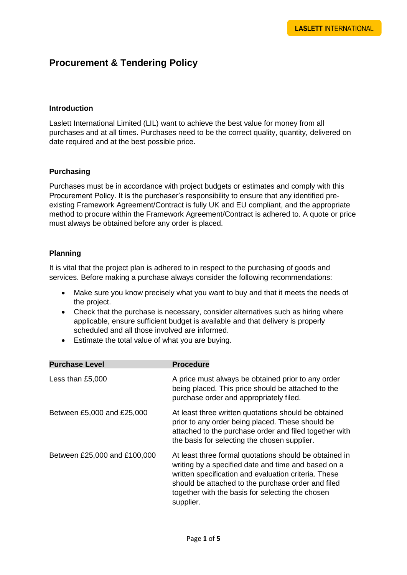# **Procurement & Tendering Policy**

#### **Introduction**

Laslett International Limited (LIL) want to achieve the best value for money from all purchases and at all times. Purchases need to be the correct quality, quantity, delivered on date required and at the best possible price.

## **Purchasing**

Purchases must be in accordance with project budgets or estimates and comply with this Procurement Policy. It is the purchaser's responsibility to ensure that any identified preexisting Framework Agreement/Contract is fully UK and EU compliant, and the appropriate method to procure within the Framework Agreement/Contract is adhered to. A quote or price must always be obtained before any order is placed.

## **Planning**

It is vital that the project plan is adhered to in respect to the purchasing of goods and services. Before making a purchase always consider the following recommendations:

- Make sure you know precisely what you want to buy and that it meets the needs of the project.
- Check that the purchase is necessary, consider alternatives such as hiring where applicable, ensure sufficient budget is available and that delivery is properly scheduled and all those involved are informed.
- Estimate the total value of what you are buying.

| <b>Purchase Level</b>        | <b>Procedure</b>                                                                                                                                                                                                                                                                             |
|------------------------------|----------------------------------------------------------------------------------------------------------------------------------------------------------------------------------------------------------------------------------------------------------------------------------------------|
| Less than £5,000             | A price must always be obtained prior to any order<br>being placed. This price should be attached to the<br>purchase order and appropriately filed.                                                                                                                                          |
| Between £5,000 and £25,000   | At least three written quotations should be obtained<br>prior to any order being placed. These should be<br>attached to the purchase order and filed together with<br>the basis for selecting the chosen supplier.                                                                           |
| Between £25,000 and £100,000 | At least three formal quotations should be obtained in<br>writing by a specified date and time and based on a<br>written specification and evaluation criteria. These<br>should be attached to the purchase order and filed<br>together with the basis for selecting the chosen<br>supplier. |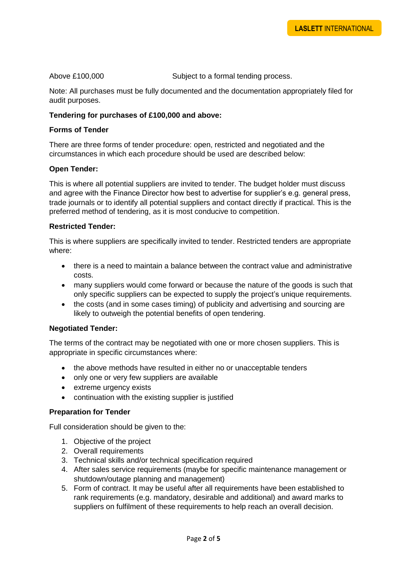Above £100,000 Subject to a formal tending process.

Note: All purchases must be fully documented and the documentation appropriately filed for audit purposes.

#### **Tendering for purchases of £100,000 and above:**

#### **Forms of Tender**

There are three forms of tender procedure: open, restricted and negotiated and the circumstances in which each procedure should be used are described below:

#### **Open Tender:**

This is where all potential suppliers are invited to tender. The budget holder must discuss and agree with the Finance Director how best to advertise for supplier's e.g. general press, trade journals or to identify all potential suppliers and contact directly if practical. This is the preferred method of tendering, as it is most conducive to competition.

#### **Restricted Tender:**

This is where suppliers are specifically invited to tender. Restricted tenders are appropriate where:

- there is a need to maintain a balance between the contract value and administrative costs.
- many suppliers would come forward or because the nature of the goods is such that only specific suppliers can be expected to supply the project's unique requirements.
- the costs (and in some cases timing) of publicity and advertising and sourcing are likely to outweigh the potential benefits of open tendering.

#### **Negotiated Tender:**

The terms of the contract may be negotiated with one or more chosen suppliers. This is appropriate in specific circumstances where:

- the above methods have resulted in either no or unacceptable tenders
- only one or very few suppliers are available
- extreme urgency exists
- continuation with the existing supplier is justified

#### **Preparation for Tender**

Full consideration should be given to the:

- 1. Objective of the project
- 2. Overall requirements
- 3. Technical skills and/or technical specification required
- 4. After sales service requirements (maybe for specific maintenance management or shutdown/outage planning and management)
- 5. Form of contract. It may be useful after all requirements have been established to rank requirements (e.g. mandatory, desirable and additional) and award marks to suppliers on fulfilment of these requirements to help reach an overall decision.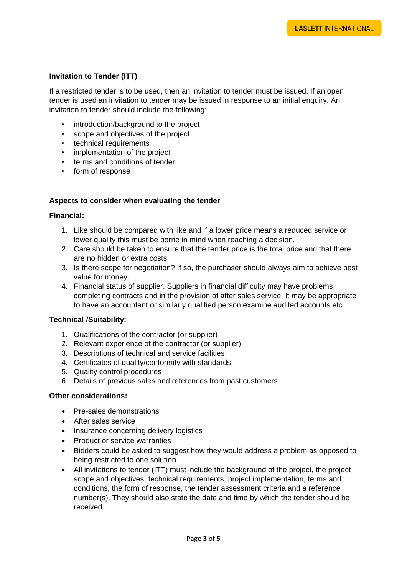# **Invitation to Tender (ITT)**

If a restricted tender is to be used, then an invitation to tender must be issued. If an open tender is used an invitation to tender may be issued in response to an initial enquiry. An invitation to tender should include the following:

- introduction/background to the project
- scope and objectives of the project
- technical requirements
- implementation of the project
- terms and conditions of tender
- form of response

#### **Aspects to consider when evaluating the tender**

#### **Financial:**

- 1. Like should be compared with like and if a lower price means a reduced service or lower quality this must be borne in mind when reaching a decision.
- 2. Care should be taken to ensure that the tender price is the total price and that there are no hidden or extra costs.
- 3. Is there scope for negotiation? If so, the purchaser should always aim to achieve best value for money.
- 4. Financial status of supplier. Suppliers in financial difficulty may have problems completing contracts and in the provision of after sales service. It may be appropriate to have an accountant or similarly qualified person examine audited accounts etc.

#### **Technical /Suitability:**

- 1. Qualifications of the contractor (or supplier)
- 2. Relevant experience of the contractor (or supplier)
- 3. Descriptions of technical and service facilities
- 4. Certificates of quality/conformity with standards
- 5. Quality control procedures
- 6. Details of previous sales and references from past customers

#### **Other considerations:**

- Pre-sales demonstrations
- After sales service
- Insurance concerning delivery logistics
- Product or service warranties
- Bidders could be asked to suggest how they would address a problem as opposed to being restricted to one solution.
- All invitations to tender (ITT) must include the background of the project, the project scope and objectives, technical requirements, project implementation, terms and conditions, the form of response, the tender assessment criteria and a reference number(s). They should also state the date and time by which the tender should be received.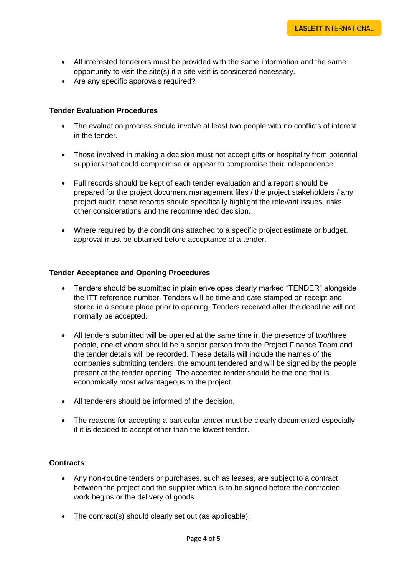- All interested tenderers must be provided with the same information and the same opportunity to visit the site(s) if a site visit is considered necessary.
- Are any specific approvals required?

#### **Tender Evaluation Procedures**

- The evaluation process should involve at least two people with no conflicts of interest in the tender.
- Those involved in making a decision must not accept gifts or hospitality from potential suppliers that could compromise or appear to compromise their independence.
- Full records should be kept of each tender evaluation and a report should be prepared for the project document management files / the project stakeholders / any project audit, these records should specifically highlight the relevant issues, risks, other considerations and the recommended decision.
- Where required by the conditions attached to a specific project estimate or budget, approval must be obtained before acceptance of a tender.

#### **Tender Acceptance and Opening Procedures**

- Tenders should be submitted in plain envelopes clearly marked "TENDER" alongside the ITT reference number. Tenders will be time and date stamped on receipt and stored in a secure place prior to opening. Tenders received after the deadline will not normally be accepted.
- All tenders submitted will be opened at the same time in the presence of two/three people, one of whom should be a senior person from the Project Finance Team and the tender details will be recorded. These details will include the names of the companies submitting tenders, the amount tendered and will be signed by the people present at the tender opening. The accepted tender should be the one that is economically most advantageous to the project.
- All tenderers should be informed of the decision.
- The reasons for accepting a particular tender must be clearly documented especially if it is decided to accept other than the lowest tender.

#### **Contracts**

- Any non-routine tenders or purchases, such as leases, are subject to a contract between the project and the supplier which is to be signed before the contracted work begins or the delivery of goods.
- The contract(s) should clearly set out (as applicable):